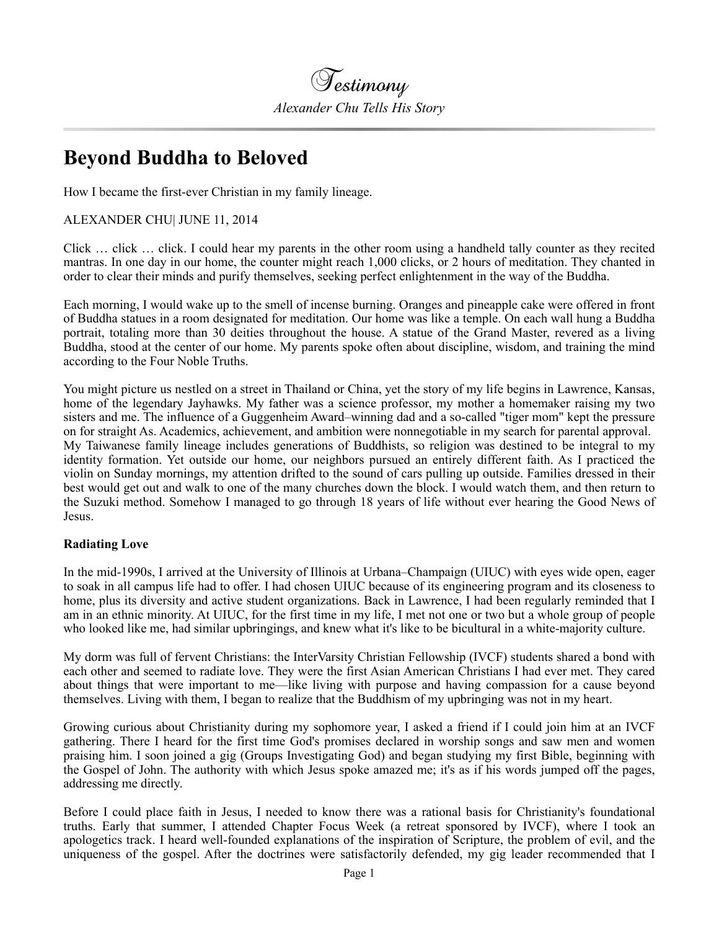

## **Beyond Buddha to Beloved**

How I became the first-ever Christian in my family lineage.

ALEXANDER CHU| JUNE 11, 2014

Click … click … click. I could hear my parents in the other room using a handheld tally counter as they recited mantras. In one day in our home, the counter might reach 1,000 clicks, or 2 hours of meditation. They chanted in order to clear their minds and purify themselves, seeking perfect enlightenment in the way of the Buddha.

Each morning, I would wake up to the smell of incense burning. Oranges and pineapple cake were offered in front of Buddha statues in a room designated for meditation. Our home was like a temple. On each wall hung a Buddha portrait, totaling more than 30 deities throughout the house. A statue of the Grand Master, revered as a living Buddha, stood at the center of our home. My parents spoke often about discipline, wisdom, and training the mind according to the Four Noble Truths.

You might picture us nestled on a street in Thailand or China, yet the story of my life begins in Lawrence, Kansas, home of the legendary Jayhawks. My father was a science professor, my mother a homemaker raising my two sisters and me. The influence of a Guggenheim Award–winning dad and a so-called "tiger mom" kept the pressure on for straight As. Academics, achievement, and ambition were nonnegotiable in my search for parental approval. My Taiwanese family lineage includes generations of Buddhists, so religion was destined to be integral to my identity formation. Yet outside our home, our neighbors pursued an entirely different faith. As I practiced the violin on Sunday mornings, my attention drifted to the sound of cars pulling up outside. Families dressed in their best would get out and walk to one of the many churches down the block. I would watch them, and then return to the Suzuki method. Somehow I managed to go through 18 years of life without ever hearing the Good News of Jesus.

## **Radiating Love**

In the mid-1990s, I arrived at the University of Illinois at Urbana–Champaign (UIUC) with eyes wide open, eager to soak in all campus life had to offer. I had chosen UIUC because of its engineering program and its closeness to home, plus its diversity and active student organizations. Back in Lawrence, I had been regularly reminded that I am in an ethnic minority. At UIUC, for the first time in my life, I met not one or two but a whole group of people who looked like me, had similar upbringings, and knew what it's like to be bicultural in a white-majority culture.

My dorm was full of fervent Christians: the InterVarsity Christian Fellowship (IVCF) students shared a bond with each other and seemed to radiate love. They were the first Asian American Christians I had ever met. They cared about things that were important to me—like living with purpose and having compassion for a cause beyond themselves. Living with them, I began to realize that the Buddhism of my upbringing was not in my heart.

Growing curious about Christianity during my sophomore year, I asked a friend if I could join him at an IVCF gathering. There I heard for the first time God's promises declared in worship songs and saw men and women praising him. I soon joined a gig (Groups Investigating God) and began studying my first Bible, beginning with the Gospel of John. The authority with which Jesus spoke amazed me; it's as if his words jumped off the pages, addressing me directly.

Before I could place faith in Jesus, I needed to know there was a rational basis for Christianity's foundational truths. Early that summer, I attended Chapter Focus Week (a retreat sponsored by IVCF), where I took an apologetics track. I heard well-founded explanations of the inspiration of Scripture, the problem of evil, and the uniqueness of the gospel. After the doctrines were satisfactorily defended, my gig leader recommended that I